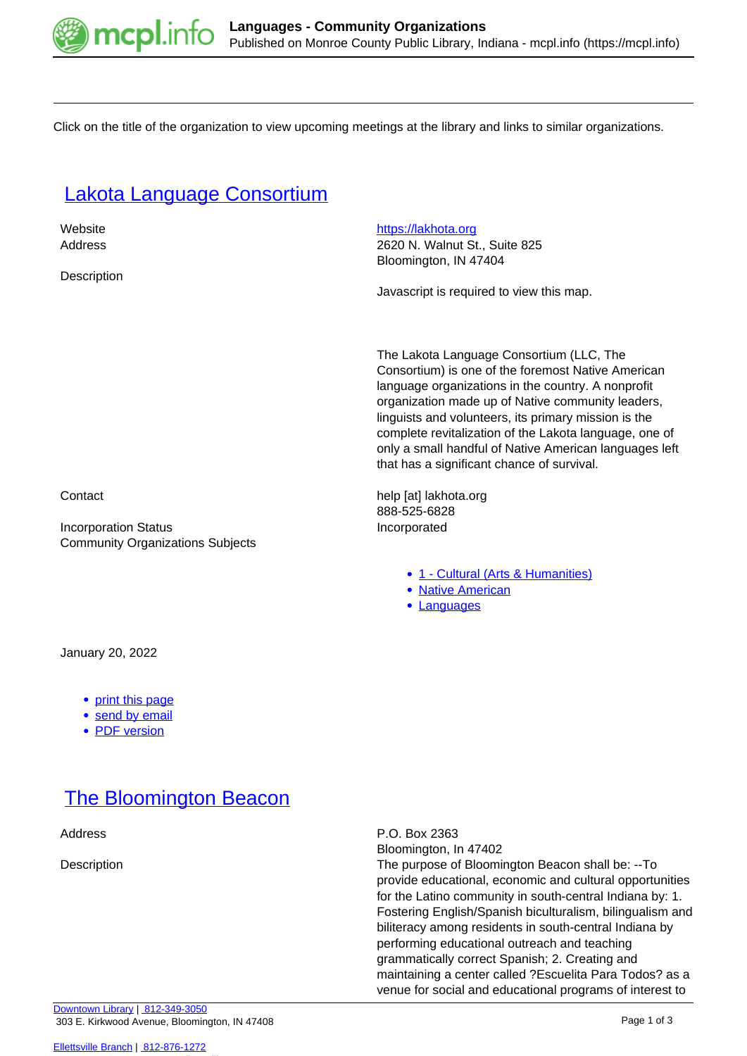

Click on the title of the organization to view upcoming meetings at the library and links to similar organizations.

## [Lakota Language Consortium](https://mcpl.info/commorg/lakota-language-consortium)

| Website<br>Address<br>Description                                                 | https://lakhota.org<br>2620 N. Walnut St., Suite 825<br>Bloomington, IN 47404<br>Javascript is required to view this map.                                                                                                                                                                                                                                                                                                           |
|-----------------------------------------------------------------------------------|-------------------------------------------------------------------------------------------------------------------------------------------------------------------------------------------------------------------------------------------------------------------------------------------------------------------------------------------------------------------------------------------------------------------------------------|
|                                                                                   | The Lakota Language Consortium (LLC, The<br>Consortium) is one of the foremost Native American<br>language organizations in the country. A nonprofit<br>organization made up of Native community leaders,<br>linguists and volunteers, its primary mission is the<br>complete revitalization of the Lakota language, one of<br>only a small handful of Native American languages left<br>that has a significant chance of survival. |
| Contact<br><b>Incorporation Status</b><br><b>Community Organizations Subjects</b> | help [at] lakhota.org<br>888-525-6828<br>Incorporated                                                                                                                                                                                                                                                                                                                                                                               |
|                                                                                   | • 1 - Cultural (Arts & Humanities)<br>• Native American<br>Languages<br>٠                                                                                                                                                                                                                                                                                                                                                           |
| January 20, 2022                                                                  |                                                                                                                                                                                                                                                                                                                                                                                                                                     |
| لمستنقذ والقاربة والمسائدة                                                        |                                                                                                                                                                                                                                                                                                                                                                                                                                     |

- [print this page](https://mcpl.info/print/commorg/lakota-language-consortium) • [send by email](https://mcpl.info/printmail/commorg/lakota-language-consortium)
- [PDF version](https://mcpl.info/printpdf/commorg/lakota-language-consortium)
- 

## **[The Bloomington Beacon](https://mcpl.info/commorg/bloomington-beacon)**

Address P.O. Box 2363 Bloomington, In 47402

Description The purpose of Bloomington Beacon shall be: --To provide educational, economic and cultural opportunities for the Latino community in south-central Indiana by: 1. Fostering English/Spanish biculturalism, bilingualism and biliteracy among residents in south-central Indiana by performing educational outreach and teaching grammatically correct Spanish; 2. Creating and maintaining a center called ?Escuelita Para Todos? as a venue for social and educational programs of interest to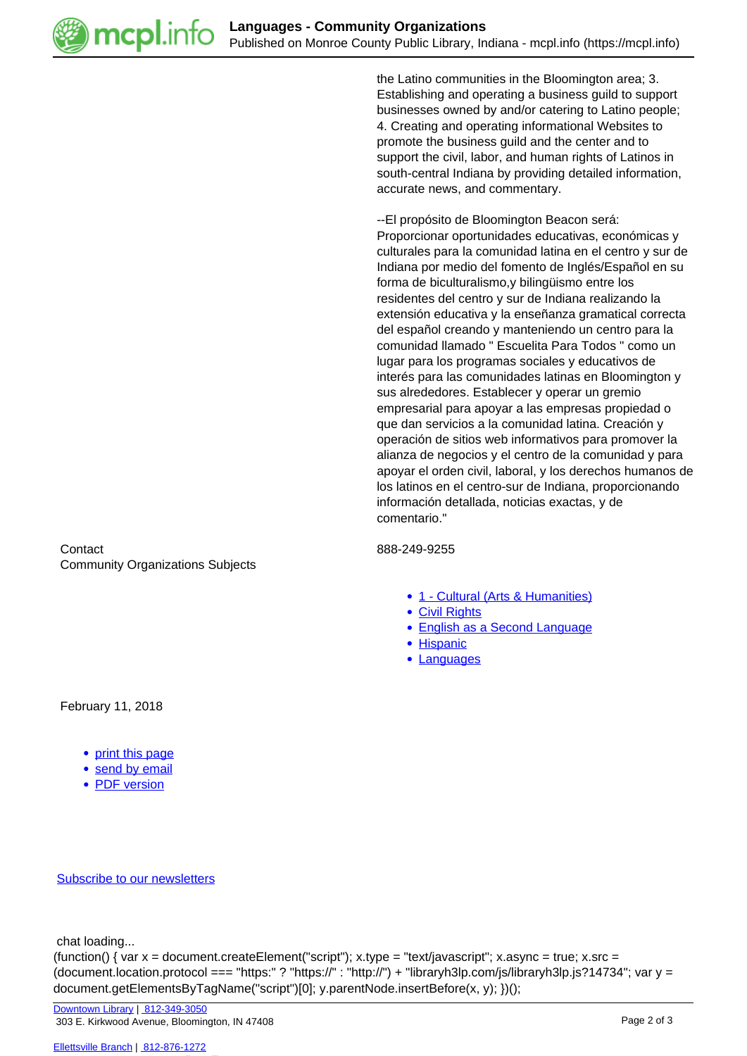

the Latino communities in the Bloomington area; 3. Establishing and operating a business guild to support businesses owned by and/or catering to Latino people; 4. Creating and operating informational Websites to promote the business guild and the center and to support the civil, labor, and human rights of Latinos in south-central Indiana by providing detailed information, accurate news, and commentary.

--El propósito de Bloomington Beacon será: Proporcionar oportunidades educativas, económicas y culturales para la comunidad latina en el centro y sur de Indiana por medio del fomento de Inglés/Español en su forma de biculturalismo,y bilingüismo entre los residentes del centro y sur de Indiana realizando la extensión educativa y la enseñanza gramatical correcta del español creando y manteniendo un centro para la comunidad llamado " Escuelita Para Todos " como un lugar para los programas sociales y educativos de interés para las comunidades latinas en Bloomington y sus alrededores. Establecer y operar un gremio empresarial para apoyar a las empresas propiedad o que dan servicios a la comunidad latina. Creación y operación de sitios web informativos para promover la alianza de negocios y el centro de la comunidad y para apoyar el orden civil, laboral, y los derechos humanos de los latinos en el centro-sur de Indiana, proporcionando información detallada, noticias exactas, y de comentario."

Contact 888-249-9255

- [1 Cultural \(Arts & Humanities\)](https://mcpl.info/community-organization-subjects/24945)
- [Civil Rights](https://mcpl.info/taxonomy/term/25013)
- [English as a Second Language](https://mcpl.info/community-organization-subjects/english-second-language)
- [Hispanic](https://mcpl.info/taxonomy/term/25179)
- [Languages](https://mcpl.info/taxonomy/term/24970)

Community Organizations Subjects

February 11, 2018

- [print this page](https://mcpl.info/print/commorg/bloomington-beacon)
- [send by email](https://mcpl.info/printmail/commorg/bloomington-beacon)
- [PDF version](https://mcpl.info/printpdf/commorg/bloomington-beacon)

[Subscribe to our newsletters](https://mcpl.info/geninfo/subscribe-think-library-newsletter)

chat loading...

(function() { var  $x =$  document.createElement("script");  $x.t$ vpe = "text/iavascript";  $x.$ async = true;  $x.s$ rc = (document.location.protocol === "https:" ? "https://" : "http://") + "libraryh3lp.com/js/libraryh3lp.js?14734"; var y = document.getElementsByTagName("script")[0]; y.parentNode.insertBefore(x, y); })();